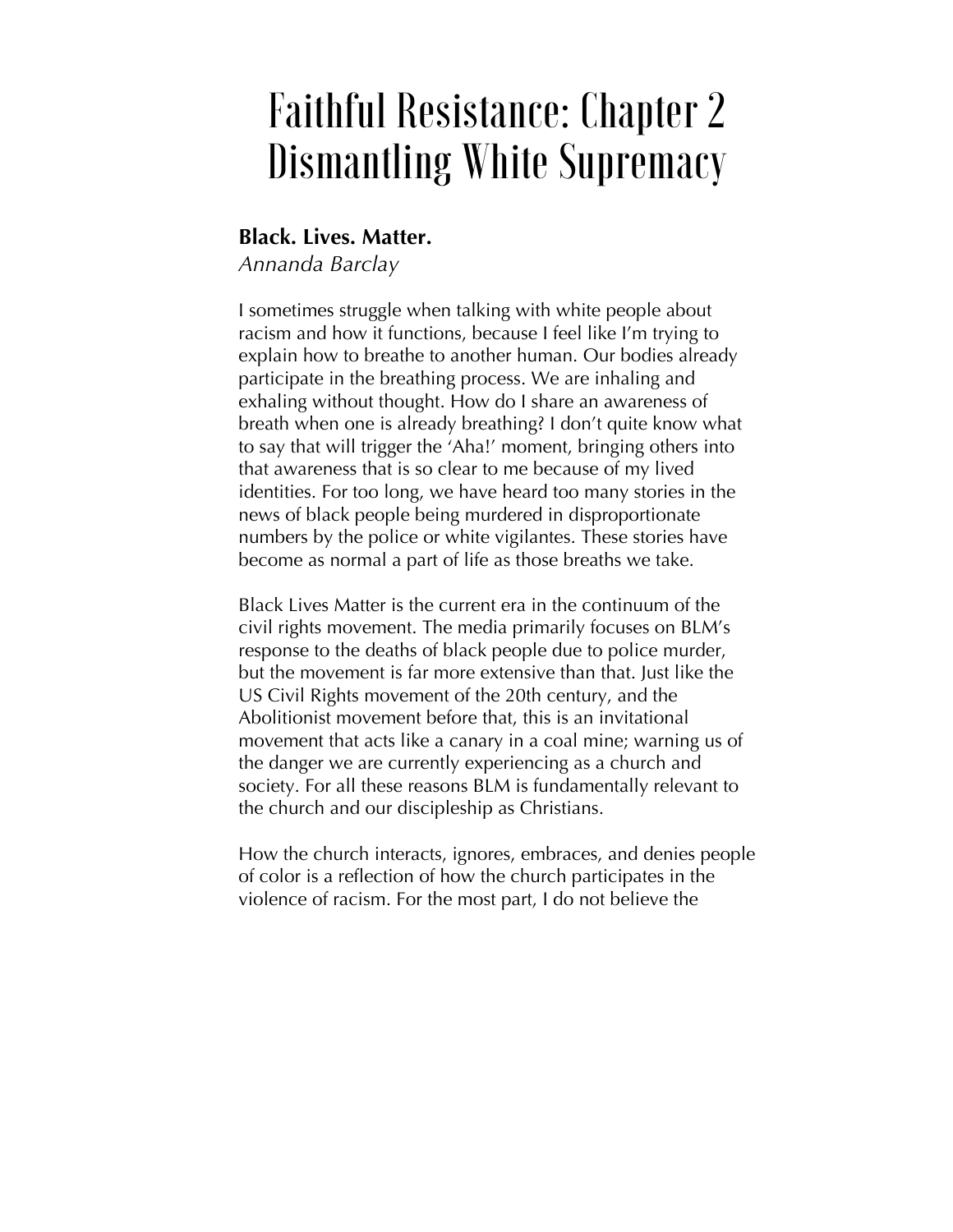# Faithful Resistance: Chapter 2 Dismantling White Supremacy

## **Black. Lives. Matter.**

*Annanda Barclay*

I sometimes struggle when talking with white people about racism and how it functions, because I feel like I'm trying to explain how to breathe to another human. Our bodies already participate in the breathing process. We are inhaling and exhaling without thought. How do I share an awareness of breath when one is already breathing? I don't quite know what to say that will trigger the 'Aha!' moment, bringing others into that awareness that is so clear to me because of my lived identities. For too long, we have heard too many stories in the news of black people being murdered in disproportionate numbers by the police or white vigilantes. These stories have become as normal a part of life as those breaths we take.

Black Lives Matter is the current era in the continuum of the civil rights movement. The media primarily focuses on BLM's response to the deaths of black people due to police murder, but the movement is far more extensive than that. Just like the US Civil Rights movement of the 20th century, and the Abolitionist movement before that, this is an invitational movement that acts like a canary in a coal mine; warning us of the danger we are currently experiencing as a church and society. For all these reasons BLM is fundamentally relevant to the church and our discipleship as Christians.

How the church interacts, ignores, embraces, and denies people of color is a reflection of how the church participates in the violence of racism. For the most part, I do not believe the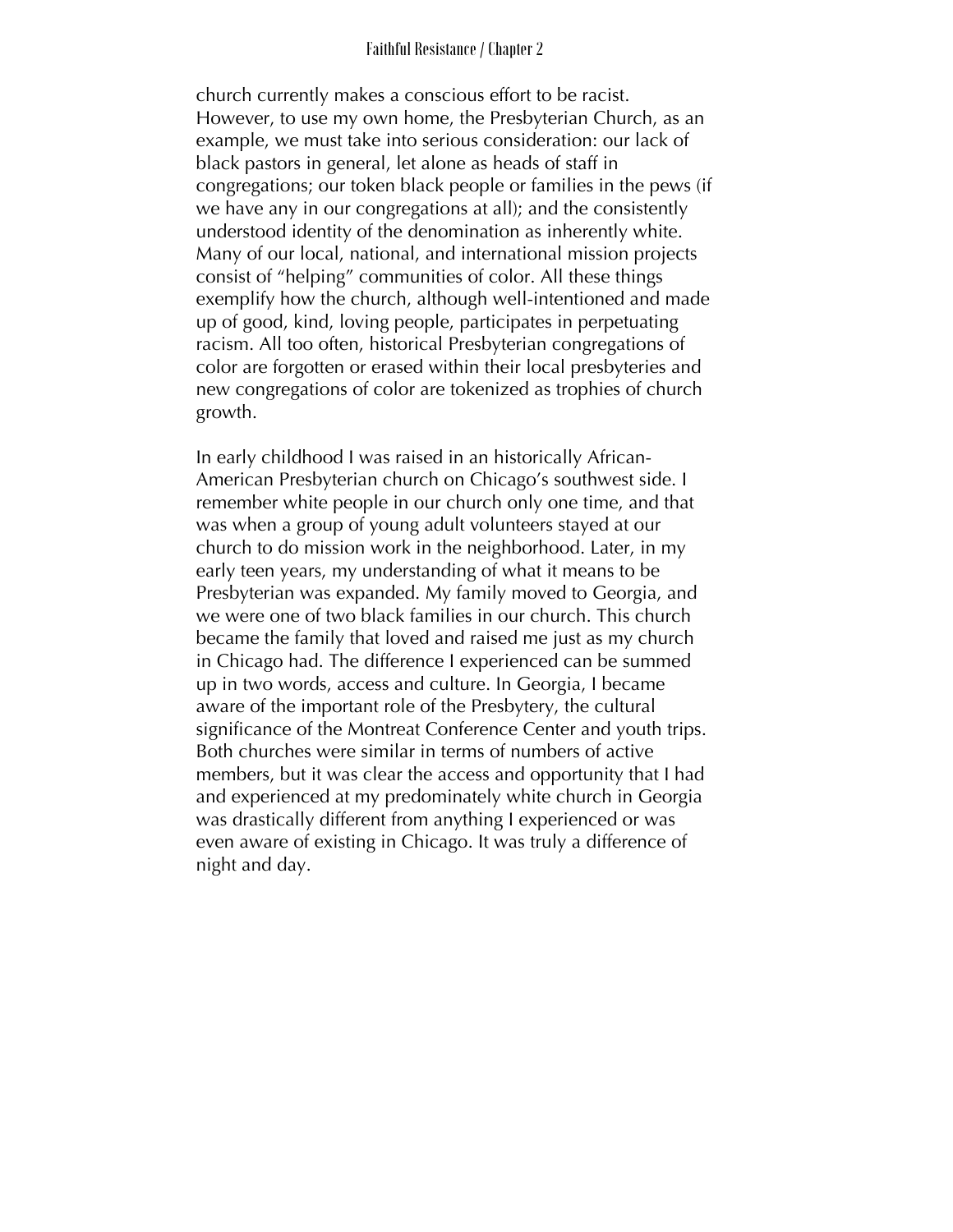church currently makes a conscious effort to be racist. However, to use my own home, the Presbyterian Church, as an example, we must take into serious consideration: our lack of black pastors in general, let alone as heads of staff in congregations; our token black people or families in the pews (if we have any in our congregations at all); and the consistently understood identity of the denomination as inherently white. Many of our local, national, and international mission projects consist of "helping" communities of color. All these things exemplify how the church, although well-intentioned and made up of good, kind, loving people, participates in perpetuating racism. All too often, historical Presbyterian congregations of color are forgotten or erased within their local presbyteries and new congregations of color are tokenized as trophies of church growth.

In early childhood I was raised in an historically African-American Presbyterian church on Chicago's southwest side. I remember white people in our church only one time, and that was when a group of young adult volunteers stayed at our church to do mission work in the neighborhood. Later, in my early teen years, my understanding of what it means to be Presbyterian was expanded. My family moved to Georgia, and we were one of two black families in our church. This church became the family that loved and raised me just as my church in Chicago had. The difference I experienced can be summed up in two words, access and culture. In Georgia, I became aware of the important role of the Presbytery, the cultural significance of the Montreat Conference Center and youth trips. Both churches were similar in terms of numbers of active members, but it was clear the access and opportunity that I had and experienced at my predominately white church in Georgia was drastically different from anything I experienced or was even aware of existing in Chicago. It was truly a difference of night and day.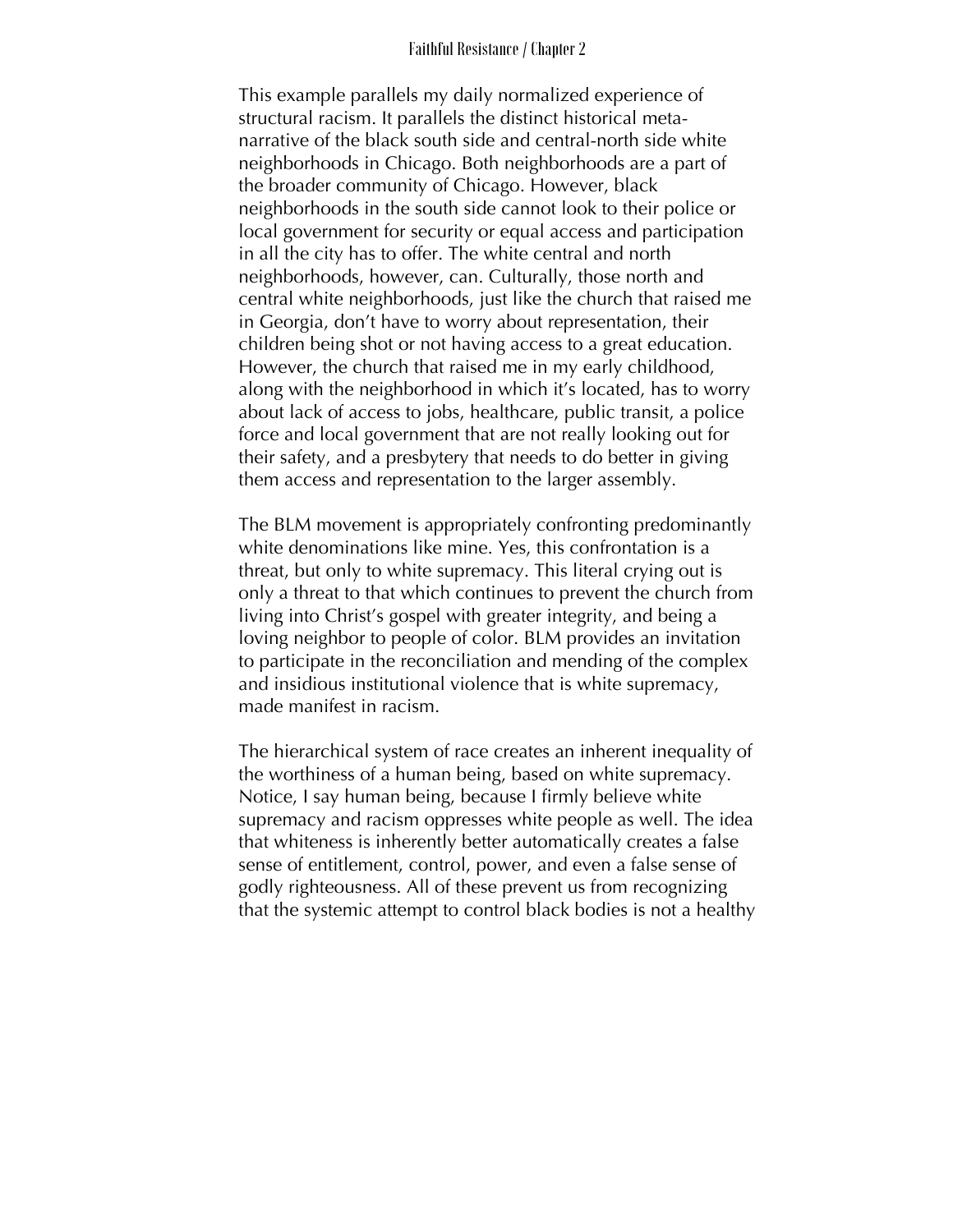This example parallels my daily normalized experience of structural racism. It parallels the distinct historical metanarrative of the black south side and central-north side white neighborhoods in Chicago. Both neighborhoods are a part of the broader community of Chicago. However, black neighborhoods in the south side cannot look to their police or local government for security or equal access and participation in all the city has to offer. The white central and north neighborhoods, however, can. Culturally, those north and central white neighborhoods, just like the church that raised me in Georgia, don't have to worry about representation, their children being shot or not having access to a great education. However, the church that raised me in my early childhood, along with the neighborhood in which it's located, has to worry about lack of access to jobs, healthcare, public transit, a police force and local government that are not really looking out for their safety, and a presbytery that needs to do better in giving them access and representation to the larger assembly.

The BLM movement is appropriately confronting predominantly white denominations like mine. Yes, this confrontation is a threat, but only to white supremacy. This literal crying out is only a threat to that which continues to prevent the church from living into Christ's gospel with greater integrity, and being a loving neighbor to people of color. BLM provides an invitation to participate in the reconciliation and mending of the complex and insidious institutional violence that is white supremacy, made manifest in racism.

The hierarchical system of race creates an inherent inequality of the worthiness of a human being, based on white supremacy. Notice, I say human being, because I firmly believe white supremacy and racism oppresses white people as well. The idea that whiteness is inherently better automatically creates a false sense of entitlement, control, power, and even a false sense of godly righteousness. All of these prevent us from recognizing that the systemic attempt to control black bodies is not a healthy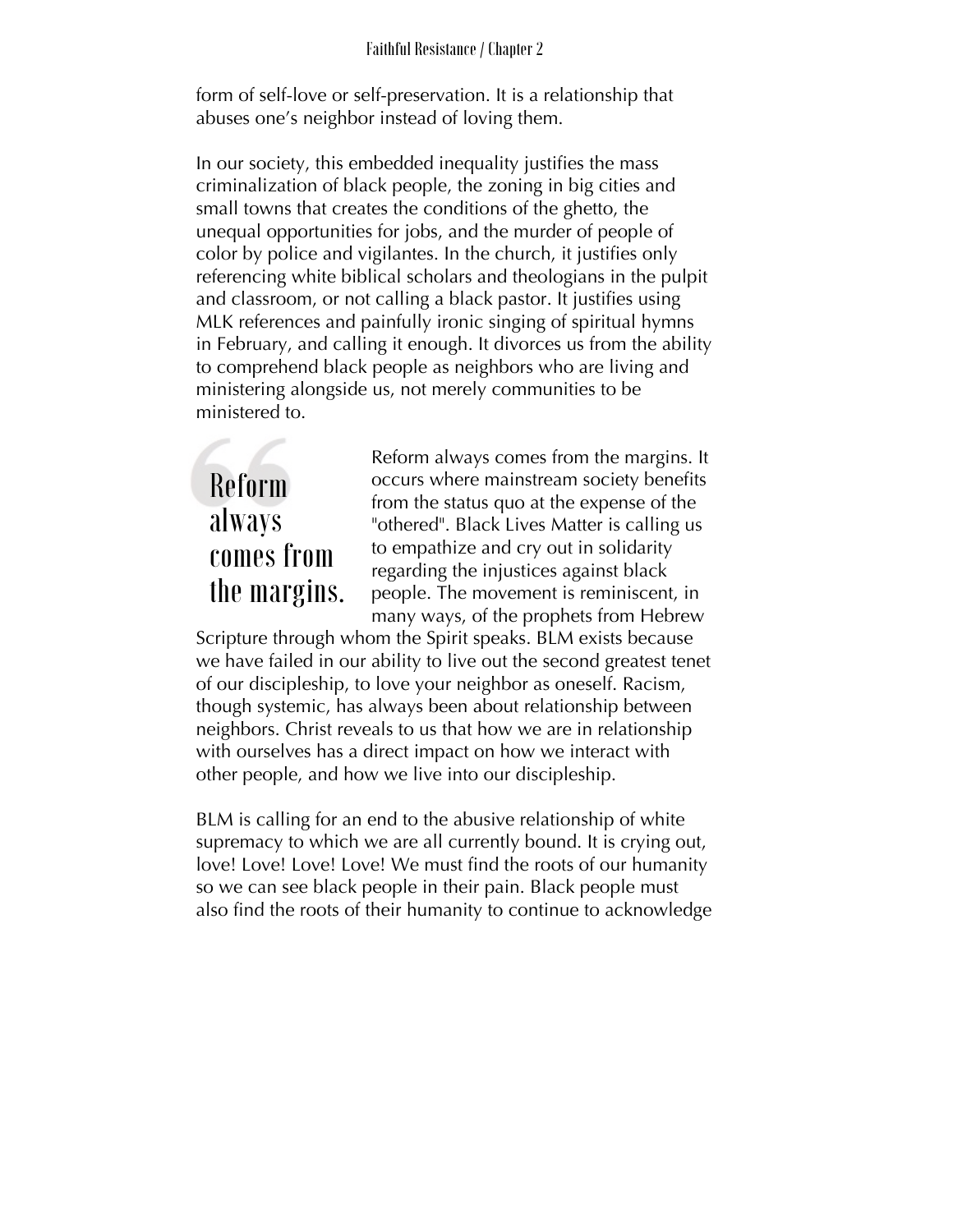form of self-love or self-preservation. It is a relationship that abuses one's neighbor instead of loving them.

In our society, this embedded inequality justifies the mass criminalization of black people, the zoning in big cities and small towns that creates the conditions of the ghetto, the unequal opportunities for jobs, and the murder of people of color by police and vigilantes. In the church, it justifies only referencing white biblical scholars and theologians in the pulpit and classroom, or not calling a black pastor. It justifies using MLK references and painfully ironic singing of spiritual hymns in February, and calling it enough. It divorces us from the ability to comprehend black people as neighbors who are living and ministering alongside us, not merely communities to be ministered to.

# Reform always comes from the margins.

Reform always comes from the margins. It occurs where mainstream society benefits from the status quo at the expense of the "othered". Black Lives Matter is calling us to empathize and cry out in solidarity regarding the injustices against black people. The movement is reminiscent, in many ways, of the prophets from Hebrew

Scripture through whom the Spirit speaks. BLM exists because we have failed in our ability to live out the second greatest tenet of our discipleship, to love your neighbor as oneself. Racism, though systemic, has always been about relationship between neighbors. Christ reveals to us that how we are in relationship with ourselves has a direct impact on how we interact with other people, and how we live into our discipleship.

BLM is calling for an end to the abusive relationship of white supremacy to which we are all currently bound. It is crying out, love! Love! Love! Love! We must find the roots of our humanity so we can see black people in their pain. Black people must also find the roots of their humanity to continue to acknowledge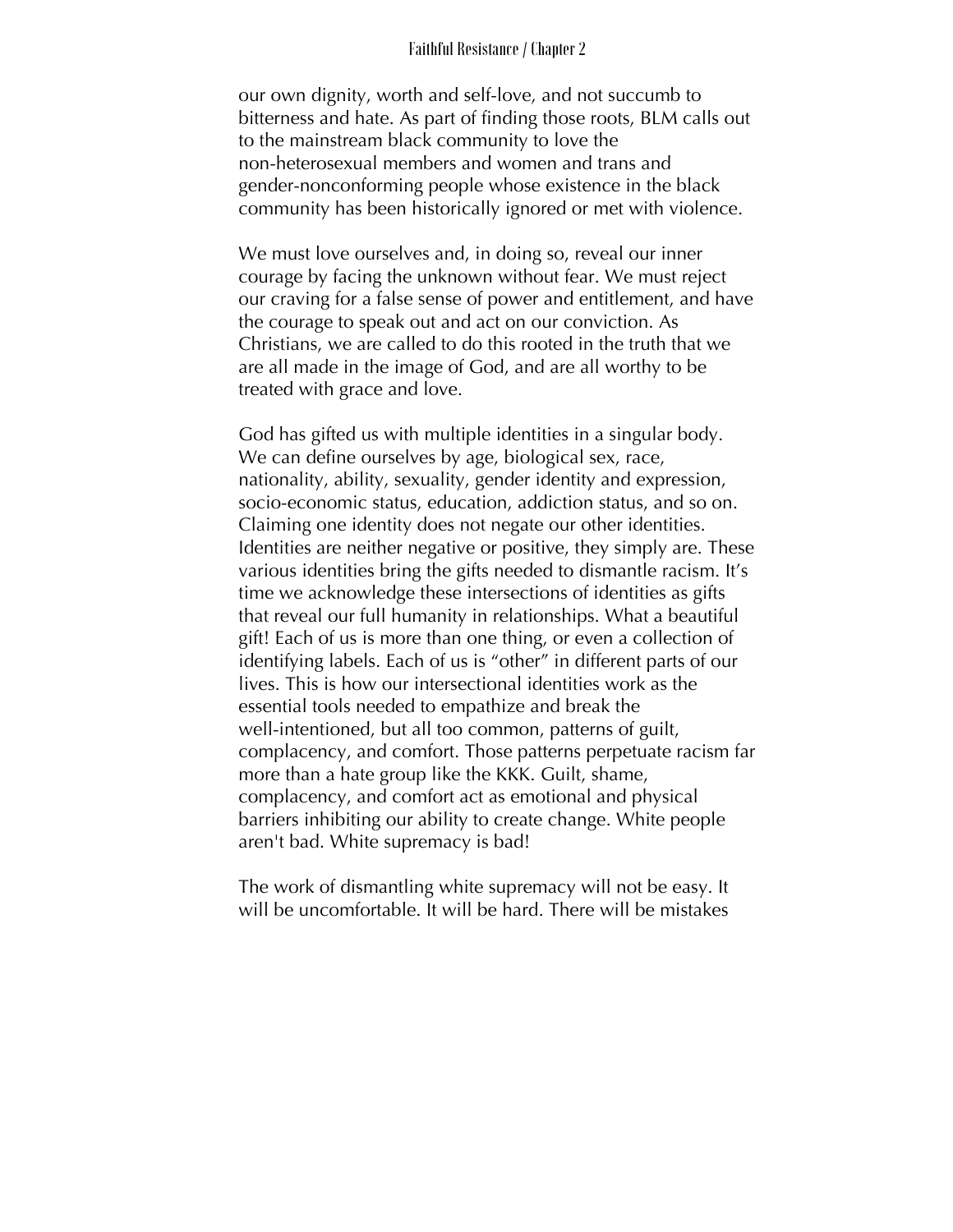our own dignity, worth and self-love, and not succumb to bitterness and hate. As part of finding those roots, BLM calls out to the mainstream black community to love the non-heterosexual members and women and trans and gender-nonconforming people whose existence in the black community has been historically ignored or met with violence.

We must love ourselves and, in doing so, reveal our inner courage by facing the unknown without fear. We must reject our craving for a false sense of power and entitlement, and have the courage to speak out and act on our conviction. As Christians, we are called to do this rooted in the truth that we are all made in the image of God, and are all worthy to be treated with grace and love.

God has gifted us with multiple identities in a singular body. We can define ourselves by age, biological sex, race, nationality, ability, sexuality, gender identity and expression, socio-economic status, education, addiction status, and so on. Claiming one identity does not negate our other identities. Identities are neither negative or positive, they simply are. These various identities bring the gifts needed to dismantle racism. It's time we acknowledge these intersections of identities as gifts that reveal our full humanity in relationships. What a beautiful gift! Each of us is more than one thing, or even a collection of identifying labels. Each of us is "other" in different parts of our lives. This is how our intersectional identities work as the essential tools needed to empathize and break the well-intentioned, but all too common, patterns of guilt, complacency, and comfort. Those patterns perpetuate racism far more than a hate group like the KKK. Guilt, shame, complacency, and comfort act as emotional and physical barriers inhibiting our ability to create change. White people aren't bad. White supremacy is bad!

The work of dismantling white supremacy will not be easy. It will be uncomfortable. It will be hard. There will be mistakes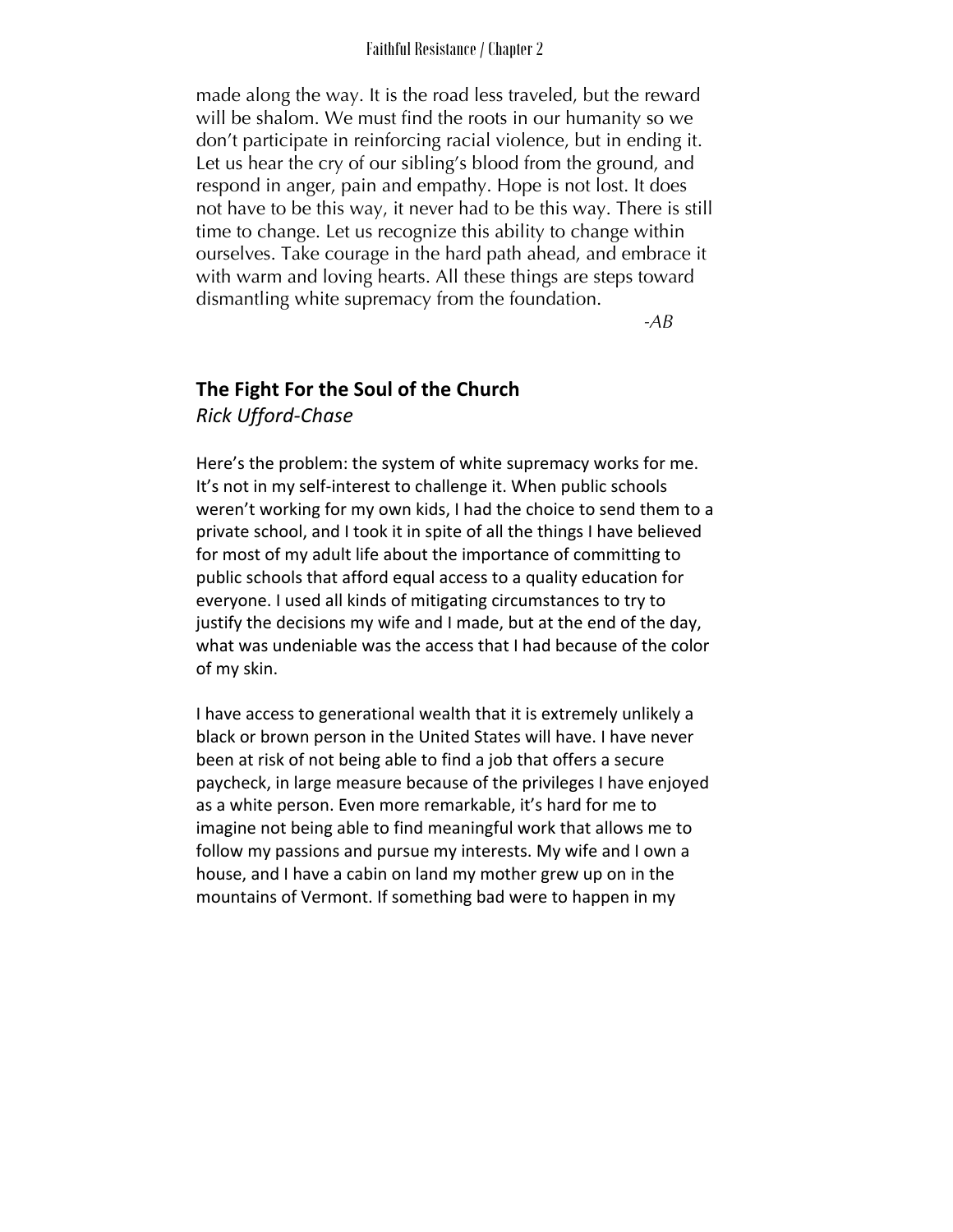made along the way. It is the road less traveled, but the reward will be shalom. We must find the roots in our humanity so we don't participate in reinforcing racial violence, but in ending it. Let us hear the cry of our sibling's blood from the ground, and respond in anger, pain and empathy. Hope is not lost. It does not have to be this way, it never had to be this way. There is still time to change. Let us recognize this ability to change within ourselves. Take courage in the hard path ahead, and embrace it with warm and loving hearts. All these things are steps toward dismantling white supremacy from the foundation.

*-AB*

# **The Fight For the Soul of the Church** *Rick Ufford-Chase*

Here's the problem: the system of white supremacy works for me. It's not in my self-interest to challenge it. When public schools weren't working for my own kids, I had the choice to send them to a private school, and I took it in spite of all the things I have believed for most of my adult life about the importance of committing to public schools that afford equal access to a quality education for everyone. I used all kinds of mitigating circumstances to try to justify the decisions my wife and I made, but at the end of the day, what was undeniable was the access that I had because of the color of my skin.

I have access to generational wealth that it is extremely unlikely a black or brown person in the United States will have. I have never been at risk of not being able to find a job that offers a secure paycheck, in large measure because of the privileges I have enjoyed as a white person. Even more remarkable, it's hard for me to imagine not being able to find meaningful work that allows me to follow my passions and pursue my interests. My wife and I own a house, and I have a cabin on land my mother grew up on in the mountains of Vermont. If something bad were to happen in my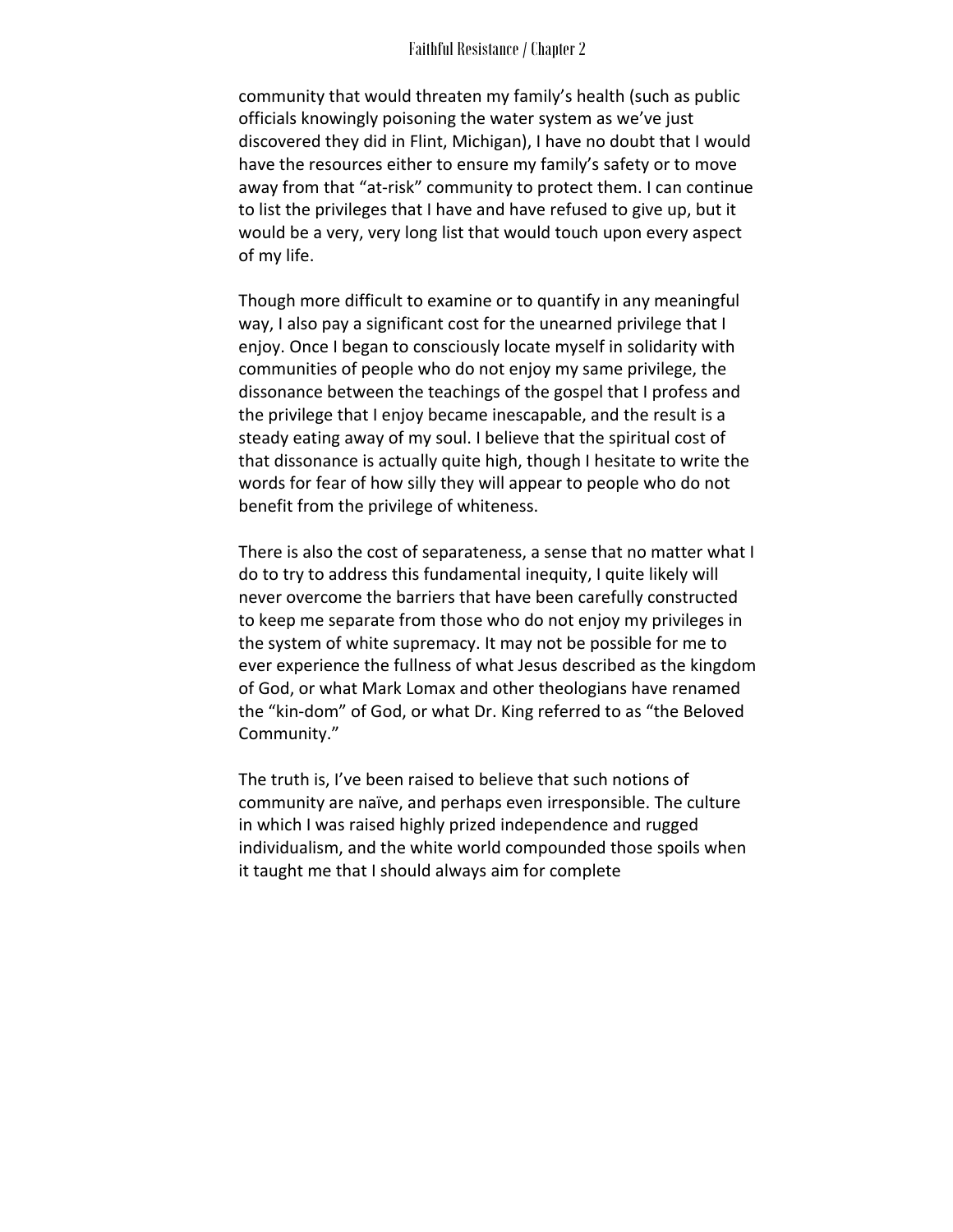community that would threaten my family's health (such as public officials knowingly poisoning the water system as we've just discovered they did in Flint, Michigan), I have no doubt that I would have the resources either to ensure my family's safety or to move away from that "at-risk" community to protect them. I can continue to list the privileges that I have and have refused to give up, but it would be a very, very long list that would touch upon every aspect of my life.

Though more difficult to examine or to quantify in any meaningful way, I also pay a significant cost for the unearned privilege that I enjoy. Once I began to consciously locate myself in solidarity with communities of people who do not enjoy my same privilege, the dissonance between the teachings of the gospel that I profess and the privilege that I enjoy became inescapable, and the result is a steady eating away of my soul. I believe that the spiritual cost of that dissonance is actually quite high, though I hesitate to write the words for fear of how silly they will appear to people who do not benefit from the privilege of whiteness.

There is also the cost of separateness, a sense that no matter what I do to try to address this fundamental inequity, I quite likely will never overcome the barriers that have been carefully constructed to keep me separate from those who do not enjoy my privileges in the system of white supremacy. It may not be possible for me to ever experience the fullness of what Jesus described as the kingdom of God, or what Mark Lomax and other theologians have renamed the "kin-dom" of God, or what Dr. King referred to as "the Beloved Community."

The truth is, I've been raised to believe that such notions of community are naïve, and perhaps even irresponsible. The culture in which I was raised highly prized independence and rugged individualism, and the white world compounded those spoils when it taught me that I should always aim for complete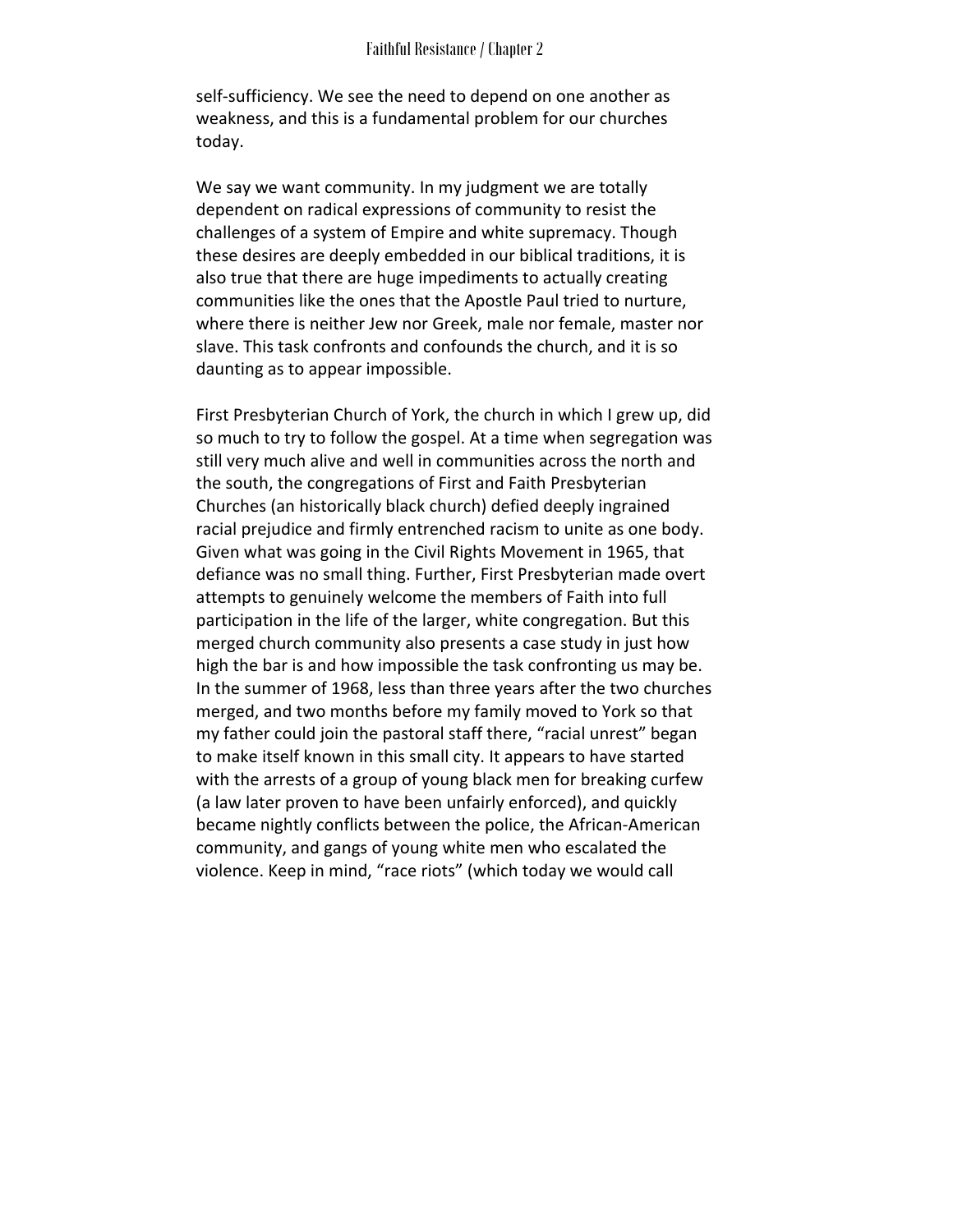self-sufficiency. We see the need to depend on one another as weakness, and this is a fundamental problem for our churches today. 

We say we want community. In my judgment we are totally dependent on radical expressions of community to resist the challenges of a system of Empire and white supremacy. Though these desires are deeply embedded in our biblical traditions, it is also true that there are huge impediments to actually creating communities like the ones that the Apostle Paul tried to nurture, where there is neither Jew nor Greek, male nor female, master nor slave. This task confronts and confounds the church, and it is so daunting as to appear impossible.

First Presbyterian Church of York, the church in which I grew up, did so much to try to follow the gospel. At a time when segregation was still very much alive and well in communities across the north and the south, the congregations of First and Faith Presbyterian Churches (an historically black church) defied deeply ingrained racial prejudice and firmly entrenched racism to unite as one body. Given what was going in the Civil Rights Movement in 1965, that defiance was no small thing. Further, First Presbyterian made overt attempts to genuinely welcome the members of Faith into full participation in the life of the larger, white congregation. But this merged church community also presents a case study in just how high the bar is and how impossible the task confronting us may be. In the summer of 1968, less than three years after the two churches merged, and two months before my family moved to York so that my father could join the pastoral staff there, "racial unrest" began to make itself known in this small city. It appears to have started with the arrests of a group of young black men for breaking curfew (a law later proven to have been unfairly enforced), and quickly became nightly conflicts between the police, the African-American community, and gangs of young white men who escalated the violence. Keep in mind, "race riots" (which today we would call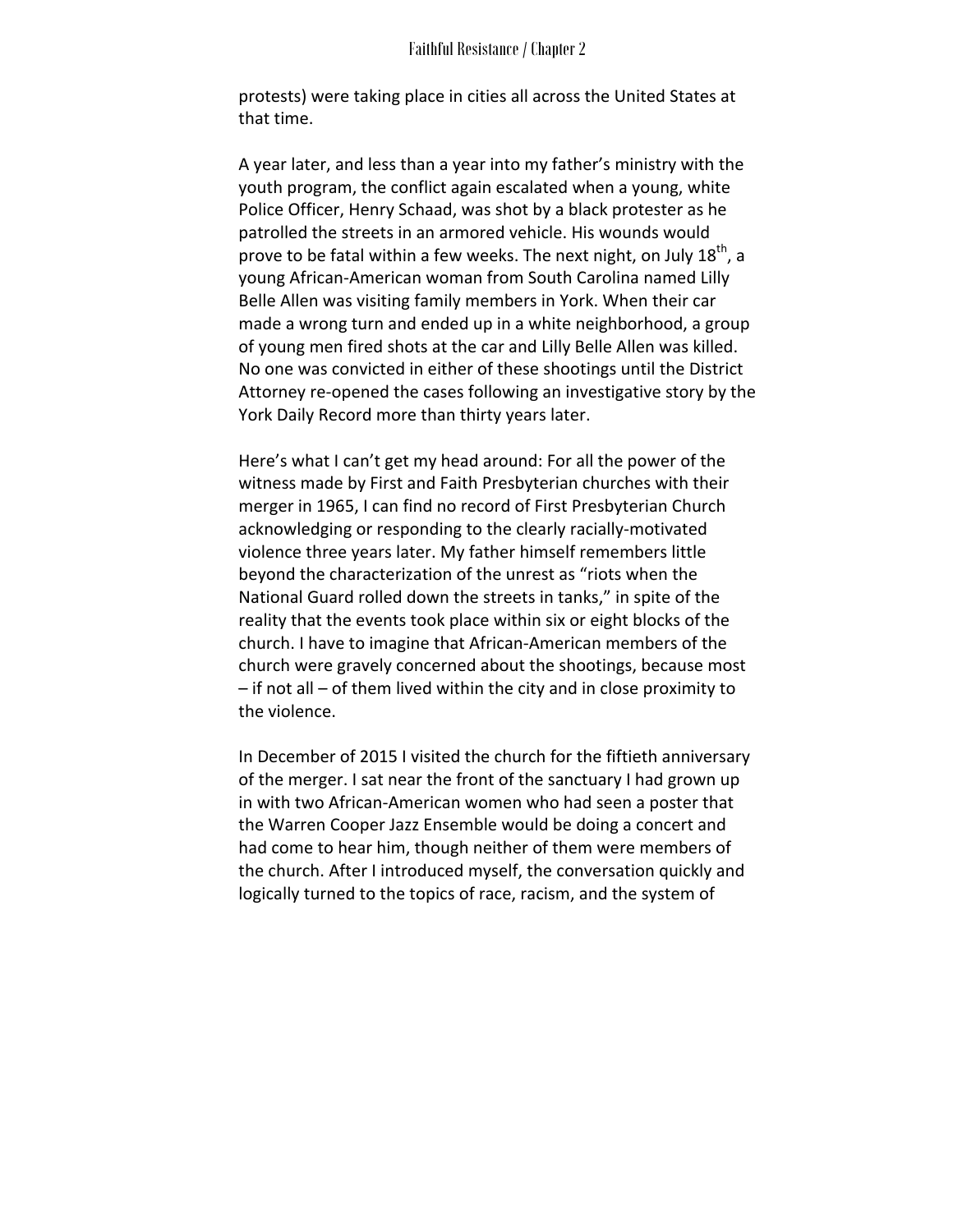protests) were taking place in cities all across the United States at that time.

A year later, and less than a year into my father's ministry with the youth program, the conflict again escalated when a young, white Police Officer, Henry Schaad, was shot by a black protester as he patrolled the streets in an armored vehicle. His wounds would prove to be fatal within a few weeks. The next night, on July  $18<sup>th</sup>$ , a young African-American woman from South Carolina named Lilly Belle Allen was visiting family members in York. When their car made a wrong turn and ended up in a white neighborhood, a group of young men fired shots at the car and Lilly Belle Allen was killed. No one was convicted in either of these shootings until the District Attorney re-opened the cases following an investigative story by the York Daily Record more than thirty years later.

Here's what I can't get my head around: For all the power of the witness made by First and Faith Presbyterian churches with their merger in 1965, I can find no record of First Presbyterian Church acknowledging or responding to the clearly racially-motivated violence three years later. My father himself remembers little beyond the characterization of the unrest as "riots when the National Guard rolled down the streets in tanks," in spite of the reality that the events took place within six or eight blocks of the church. I have to imagine that African-American members of the church were gravely concerned about the shootings, because most  $-$  if not all  $-$  of them lived within the city and in close proximity to the violence.

In December of 2015 I visited the church for the fiftieth anniversary of the merger. I sat near the front of the sanctuary I had grown up in with two African-American women who had seen a poster that the Warren Cooper Jazz Ensemble would be doing a concert and had come to hear him, though neither of them were members of the church. After I introduced myself, the conversation quickly and logically turned to the topics of race, racism, and the system of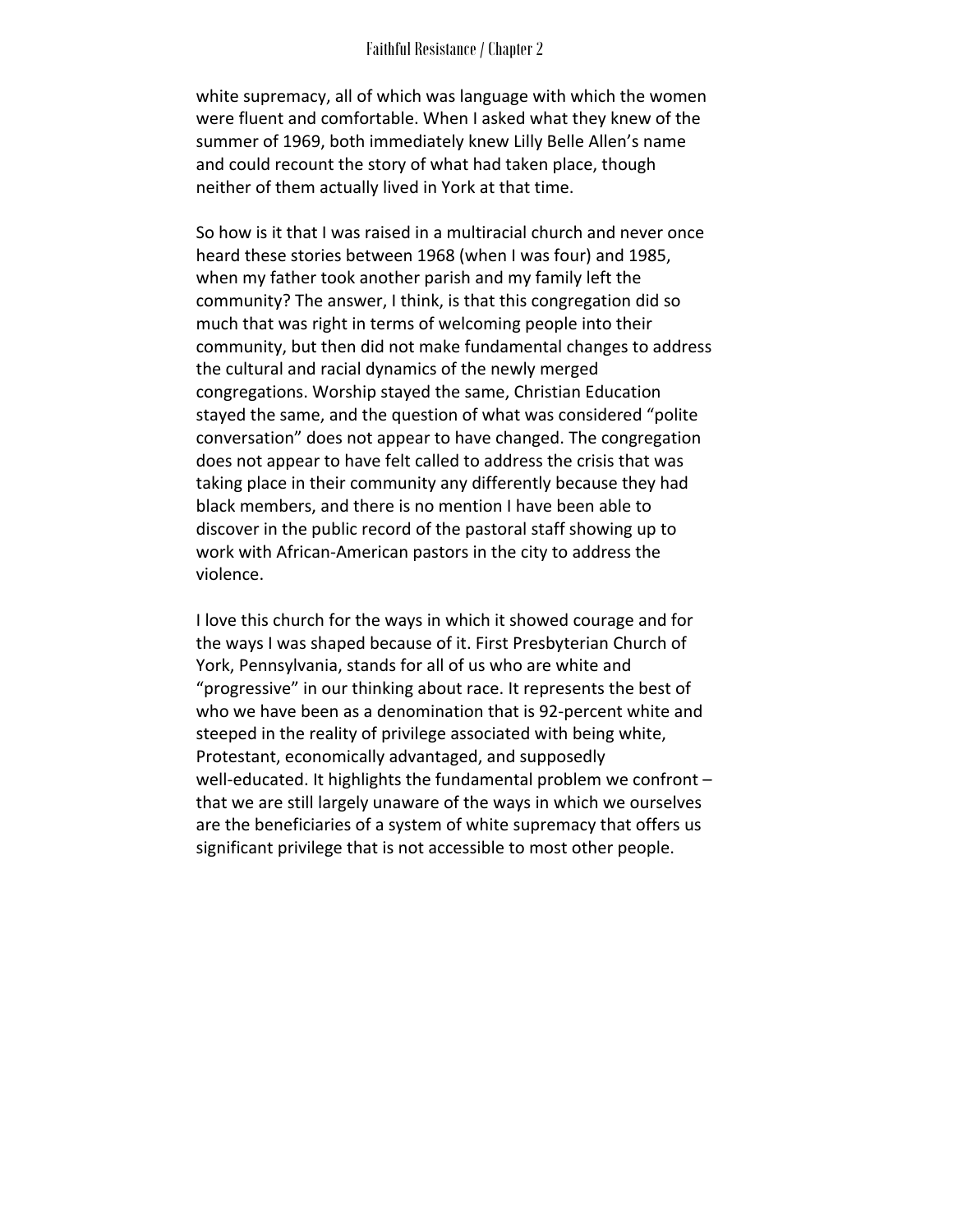white supremacy, all of which was language with which the women were fluent and comfortable. When I asked what they knew of the summer of 1969, both immediately knew Lilly Belle Allen's name and could recount the story of what had taken place, though neither of them actually lived in York at that time.

So how is it that I was raised in a multiracial church and never once heard these stories between 1968 (when I was four) and 1985, when my father took another parish and my family left the community? The answer, I think, is that this congregation did so much that was right in terms of welcoming people into their community, but then did not make fundamental changes to address the cultural and racial dynamics of the newly merged congregations. Worship stayed the same, Christian Education stayed the same, and the question of what was considered "polite conversation" does not appear to have changed. The congregation does not appear to have felt called to address the crisis that was taking place in their community any differently because they had black members, and there is no mention I have been able to discover in the public record of the pastoral staff showing up to work with African-American pastors in the city to address the violence.

I love this church for the ways in which it showed courage and for the ways I was shaped because of it. First Presbyterian Church of York, Pennsylvania, stands for all of us who are white and "progressive" in our thinking about race. It represents the best of who we have been as a denomination that is 92-percent white and steeped in the reality of privilege associated with being white, Protestant, economically advantaged, and supposedly well-educated. It highlights the fundamental problem we confront  $$ that we are still largely unaware of the ways in which we ourselves are the beneficiaries of a system of white supremacy that offers us significant privilege that is not accessible to most other people.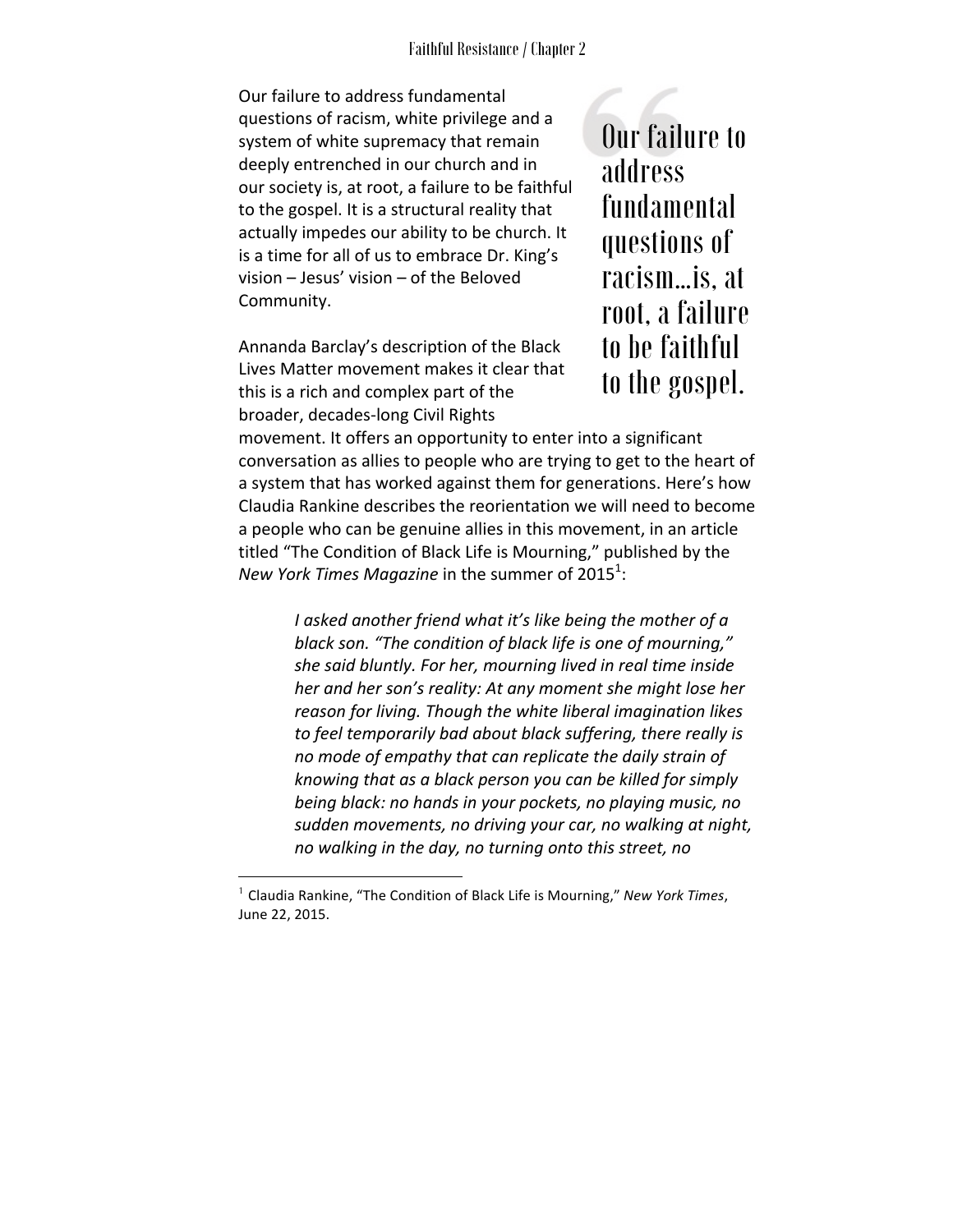Our failure to address fundamental questions of racism, white privilege and a system of white supremacy that remain deeply entrenched in our church and in our society is, at root, a failure to be faithful to the gospel. It is a structural reality that actually impedes our ability to be church. It is a time for all of us to embrace Dr. King's  $vision$  – Jesus' vision – of the Beloved Community.

Annanda Barclay's description of the Black Lives Matter movement makes it clear that this is a rich and complex part of the broader, decades-long Civil Rights

Our failure to address fundamental questions of racism…is, at root, a failure to be faithful to the gospel.

movement. It offers an opportunity to enter into a significant conversation as allies to people who are trying to get to the heart of a system that has worked against them for generations. Here's how Claudia Rankine describes the reorientation we will need to become a people who can be genuine allies in this movement, in an article titled "The Condition of Black Life is Mourning," published by the *New York Times Magazine* in the summer of 2015 $^1$ :

> *I* asked another friend what it's like being the mother of a black son. "The condition of black life is one of mourning," she said bluntly. For her, mourning lived in real time inside *her* and her son's reality: At any moment she might lose her reason for living. Though the white liberal imagination likes *to feel temporarily bad about black suffering, there really is*  no mode of empathy that can replicate the daily strain of *knowing that as a black person you can be killed for simply being black: no hands in your pockets, no playing music, no* sudden movements, no driving your car, no walking at night, no walking in the day, no turning onto this street, no

 

<sup>&</sup>lt;sup>1</sup> Claudia Rankine, "The Condition of Black Life is Mourning," New York Times, June 22, 2015.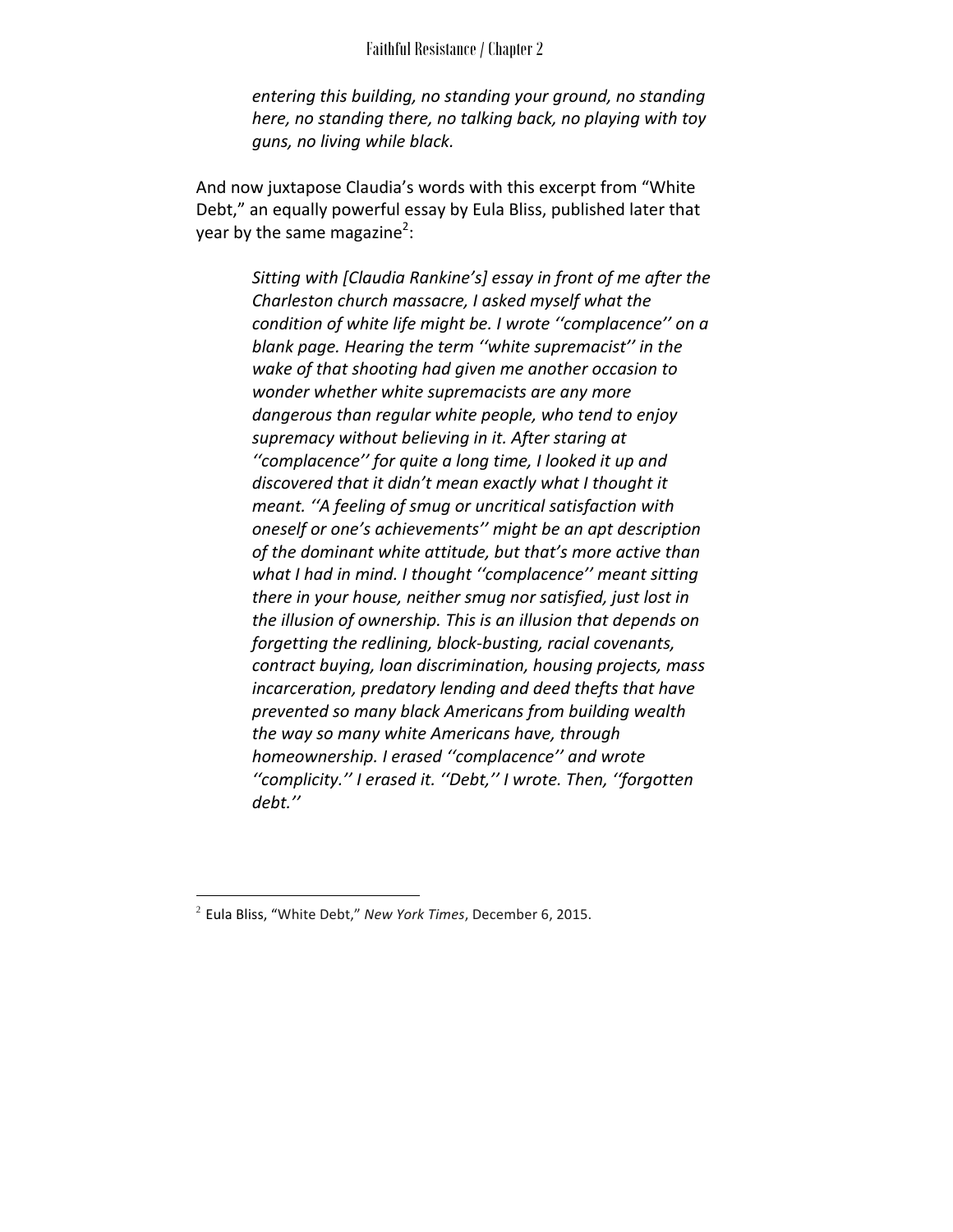*entering this building, no standing your ground, no standing here, no standing there, no talking back, no playing with toy* guns, no living while black.

And now juxtapose Claudia's words with this excerpt from "White Debt," an equally powerful essay by Eula Bliss, published later that year by the same magazine<sup>2</sup>:

> *Sitting* with [Claudia Rankine's] essay in front of me after the *Charleston church massacre, I asked myself what the condition of white life might be. I wrote "complacence" on a* blank page. Hearing the term "white supremacist" in the wake of that shooting had given me another occasion to wonder whether white supremacists are any more dangerous than regular white people, who tend to enjoy supremacy without believing in it. After staring at *''complacence'' for quite a long time, I looked it up and*  discovered that it didn't mean exactly what I thought it *meant.* "A feeling of smug or uncritical satisfaction with *oneself* or one's achievements" might be an apt description of the dominant white attitude, but that's more active than what I had in mind. I thought "complacence" meant sitting *there in your house, neither smug nor satisfied, just lost in the illusion of ownership. This is an illusion that depends on forgetting the redlining, block-busting, racial covenants, contract buying, loan discrimination, housing projects, mass*  incarceration, predatory lending and deed thefts that have prevented so many black Americans from building wealth *the way so many white Americans have, through homeownership. I erased ''complacence'' and wrote ''complicity.'' I erased it. ''Debt,'' I wrote. Then, ''forgotten debt.''*

 

<sup>&</sup>lt;sup>2</sup> Eula Bliss, "White Debt," New York Times, December 6, 2015.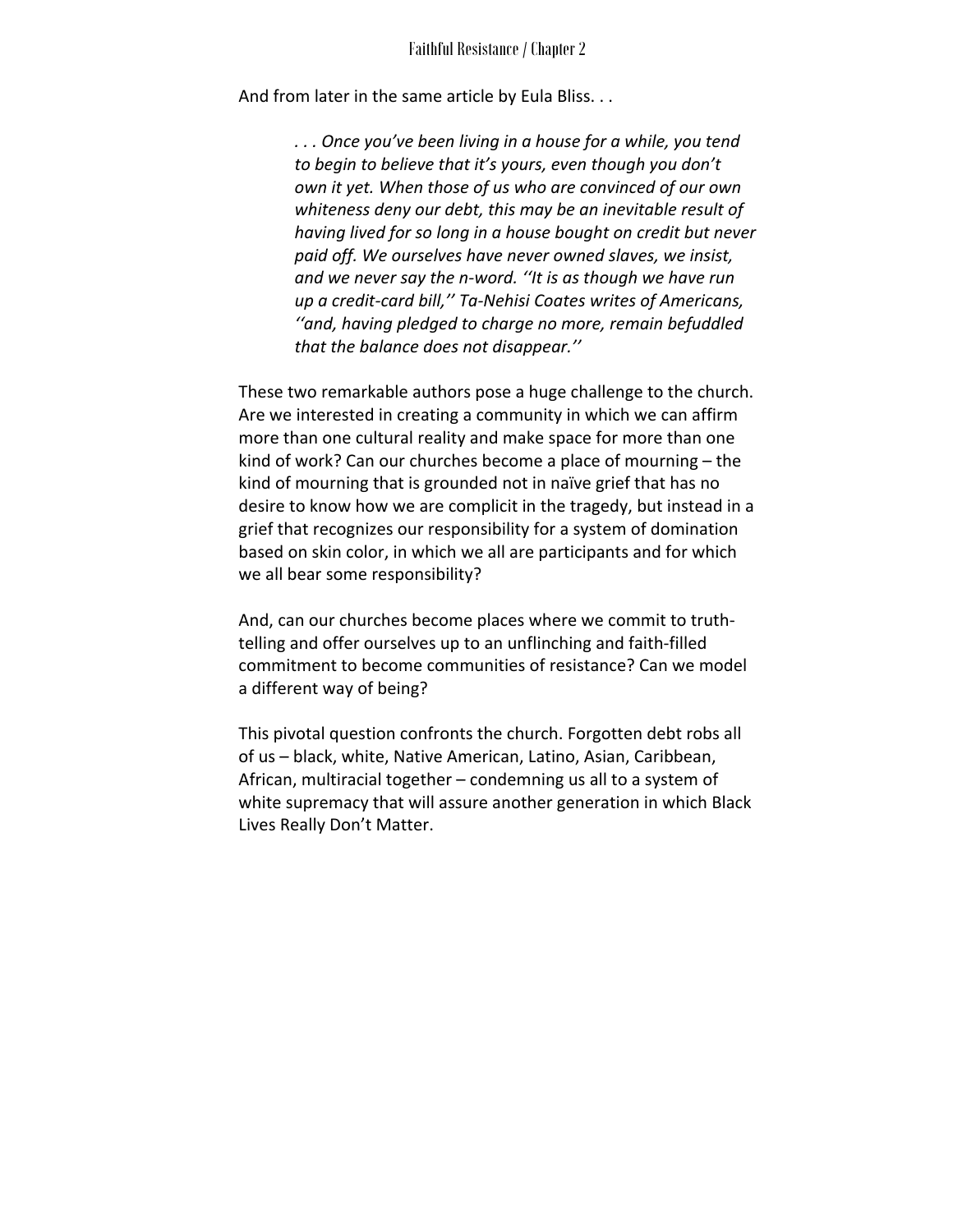And from later in the same article by Eula Bliss. . .

... Once you've been living in a house for a while, you tend to begin to believe that it's yours, even though you don't *own* it yet. When those of us who are convinced of our own whiteness deny our debt, this may be an inevitable result of *having lived for so long in a house bought on credit but never* paid off. We ourselves have never owned slaves, we insist, and we never say the n-word. "It is as though we have run *up* a credit-card bill," Ta-Nehisi Coates writes of Americans, "and, having pledged to charge no more, remain befuddled that the balance does not disappear."

These two remarkable authors pose a huge challenge to the church. Are we interested in creating a community in which we can affirm more than one cultural reality and make space for more than one kind of work? Can our churches become a place of mourning  $-$  the kind of mourning that is grounded not in naïve grief that has no desire to know how we are complicit in the tragedy, but instead in a grief that recognizes our responsibility for a system of domination based on skin color, in which we all are participants and for which we all bear some responsibility?

And, can our churches become places where we commit to truthtelling and offer ourselves up to an unflinching and faith-filled commitment to become communities of resistance? Can we model a different way of being?

This pivotal question confronts the church. Forgotten debt robs all of us – black, white, Native American, Latino, Asian, Caribbean, African, multiracial together  $-$  condemning us all to a system of white supremacy that will assure another generation in which Black Lives Really Don't Matter.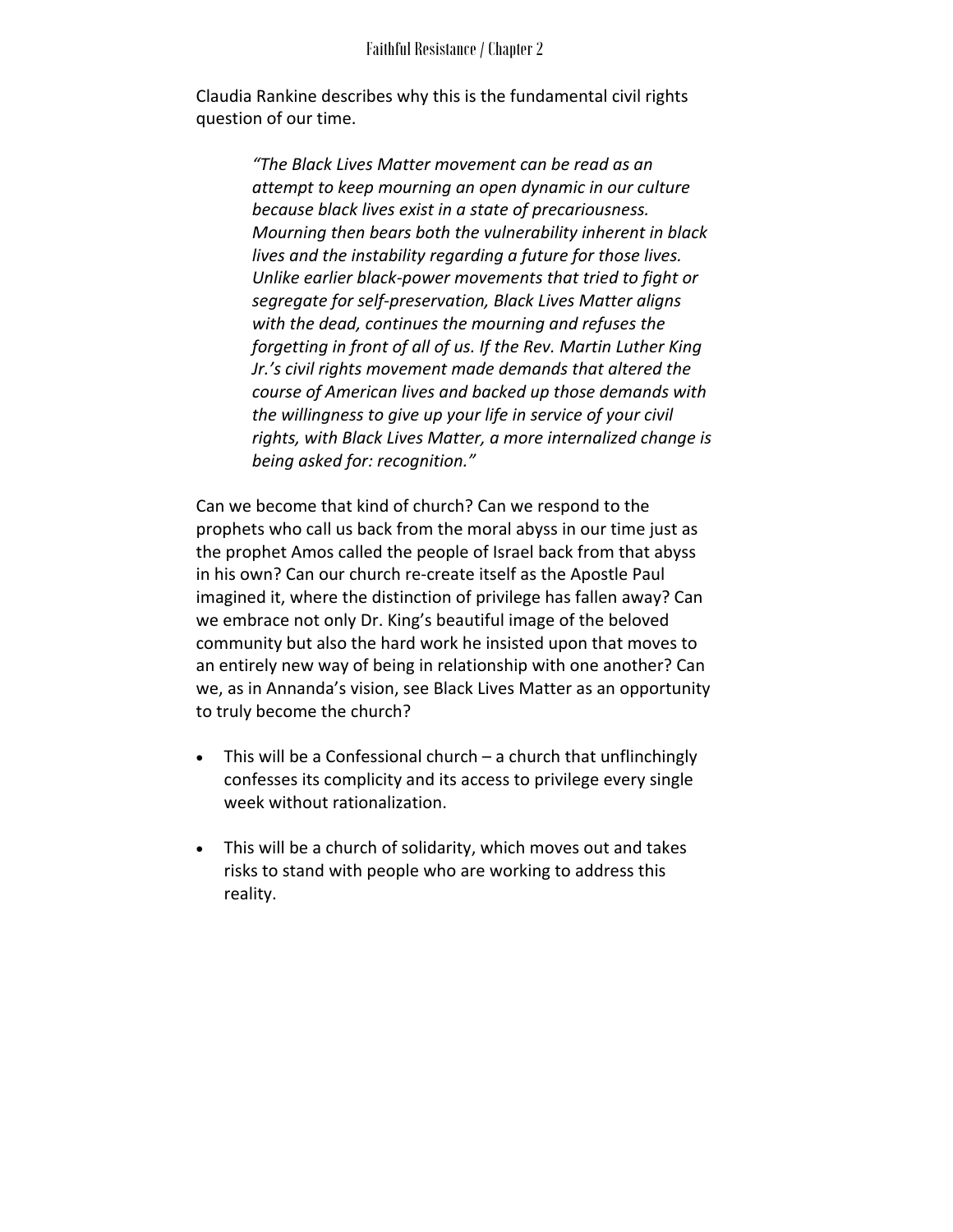Claudia Rankine describes why this is the fundamental civil rights question of our time.

> *"The Black Lives Matter movement can be read as an*  attempt to keep mourning an open dynamic in our culture *because black lives exist in a state of precariousness. Mourning then bears both the vulnerability inherent in black* lives and the instability regarding a future for those lives. Unlike earlier black-power movements that tried to fight or segregate for self-preservation, Black Lives Matter aligns with the dead, continues the mourning and refuses the forgetting in front of all of us. If the Rev. Martin Luther King *Jr.'s* civil rights movement made demands that altered the *course of American lives and backed up those demands with the willingness to give up your life in service of your civil* rights, with Black Lives Matter, a more internalized change is *being asked for: recognition."*

Can we become that kind of church? Can we respond to the prophets who call us back from the moral abyss in our time just as the prophet Amos called the people of Israel back from that abyss in his own? Can our church re-create itself as the Apostle Paul imagined it, where the distinction of privilege has fallen away? Can we embrace not only Dr. King's beautiful image of the beloved community but also the hard work he insisted upon that moves to an entirely new way of being in relationship with one another? Can we, as in Annanda's vision, see Black Lives Matter as an opportunity to truly become the church?

- This will be a Confessional church  $-$  a church that unflinchingly confesses its complicity and its access to privilege every single week without rationalization.
- This will be a church of solidarity, which moves out and takes risks to stand with people who are working to address this reality.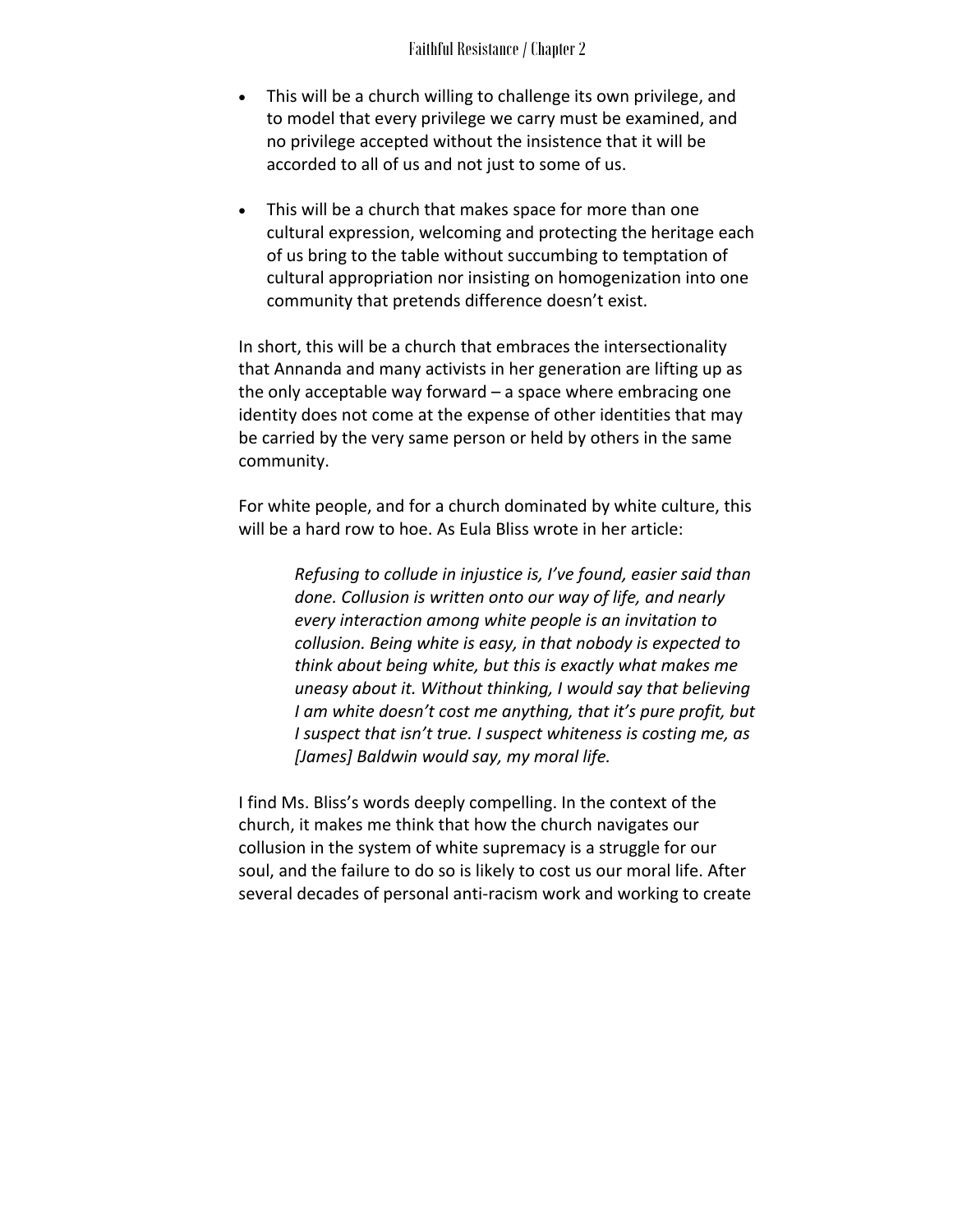- This will be a church willing to challenge its own privilege, and to model that every privilege we carry must be examined, and no privilege accepted without the insistence that it will be accorded to all of us and not just to some of us.
- This will be a church that makes space for more than one cultural expression, welcoming and protecting the heritage each of us bring to the table without succumbing to temptation of cultural appropriation nor insisting on homogenization into one community that pretends difference doesn't exist.

In short, this will be a church that embraces the intersectionality that Annanda and many activists in her generation are lifting up as the only acceptable way forward  $-$  a space where embracing one identity does not come at the expense of other identities that may be carried by the very same person or held by others in the same community.

For white people, and for a church dominated by white culture, this will be a hard row to hoe. As Eula Bliss wrote in her article:

> *Refusing to collude in injustice is, I've found, easier said than* done. Collusion is written onto our way of life, and nearly every interaction among white people is an invitation to *collusion.* Being white is easy, in that nobody is expected to *think about being white, but this is exactly what makes me uneasy about it. Without thinking, I would say that believing I* am white doesn't cost me anything, that it's pure profit, but *I* suspect that isn't true. *I* suspect whiteness is costing me, as [James] Baldwin would say, my moral life.

I find Ms. Bliss's words deeply compelling. In the context of the church, it makes me think that how the church navigates our collusion in the system of white supremacy is a struggle for our soul, and the failure to do so is likely to cost us our moral life. After several decades of personal anti-racism work and working to create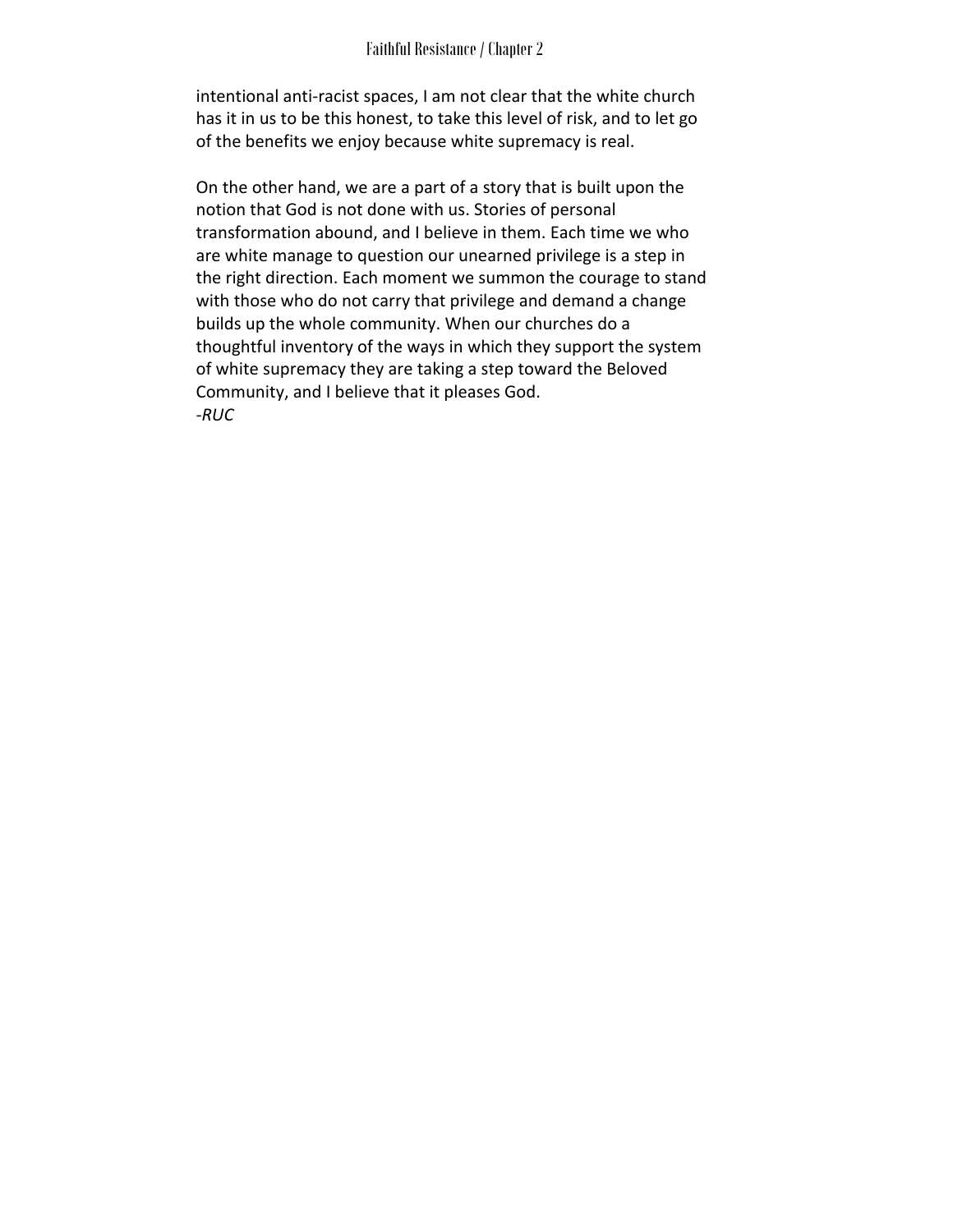intentional anti-racist spaces, I am not clear that the white church has it in us to be this honest, to take this level of risk, and to let go of the benefits we enjoy because white supremacy is real.

On the other hand, we are a part of a story that is built upon the notion that God is not done with us. Stories of personal transformation abound, and I believe in them. Each time we who are white manage to question our unearned privilege is a step in the right direction. Each moment we summon the courage to stand with those who do not carry that privilege and demand a change builds up the whole community. When our churches do a thoughtful inventory of the ways in which they support the system of white supremacy they are taking a step toward the Beloved Community, and I believe that it pleases God. *-RUC*